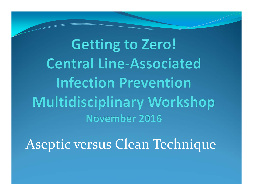**Getting to Zero! Central Line-Associated Infection Prevention Multidisciplinary Workshop** November 2016

Aseptic versus Clean Technique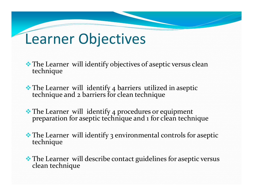- The Learner will identify objectives of aseptic versus clean technique
- The Learner will identify <sup>4</sup> barriers utilized in aseptic technique and <sup>2</sup> barriers for clean technique
- The Learner will identify 4 procedures or equipment preparation for aseptic technique and <sup>1</sup> for clean technique
- The Learner will identify <sup>3</sup> environmental controls for aseptic technique
- $\clubsuit$  The Learner will describe contact guidelines for aseptic versus clean technique clean technique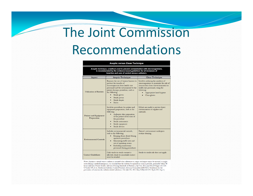## The Joint Commission Recommendations

#### **Aseptic versus Clean Technique**

Aseptic technique, a method used to prevent contamination with microorganisms, is recommended by the evidence-based guidelines for all instances of insertion and care of central venous catheters.

| Aspect                                      | Aseptic Technique                                                                                                                                                                                                                                                           | Clean Technique                                                                                                                                                                                                  |
|---------------------------------------------|-----------------------------------------------------------------------------------------------------------------------------------------------------------------------------------------------------------------------------------------------------------------------------|------------------------------------------------------------------------------------------------------------------------------------------------------------------------------------------------------------------|
| <b>Utilization of Barriers</b>              | Requires the use of various barriers to<br>prevent the transfer of<br>microorganisms from health care<br>personnel and the environment to the<br>patient during a procedure, such as<br>the following:<br>Sterile gloves<br>Sterile gowns<br>Sterile drapes<br><b>Masks</b> | Involves reducing the numbers of<br>microorganisms to minimize the risk of<br>transmission from the environment or<br>health care personnel, using the<br>following:<br>Appropriate hand hygiene<br>Clean gloves |
| <b>Patient and Equipment</b><br>Preparation | Involves procedures for patient and<br>equipment preparation, such as the<br>following:<br>Antiseptic skin preparation<br>of the patient at the time of<br>the procedure<br>Sterile instruments<br>Sterile equipment<br>Sterile devices                                     | Efforts are made to prevent direct<br>contamination of supplies and<br>materials.                                                                                                                                |
| <b>Environmental Controls</b>               | Includes environmental controls,<br>such as the following:<br>Keeping doors closed during<br>operative procedures<br>Minimizing traffic into and<br>out of operating rooms<br>Excluding unnecessary<br>٠<br>personnel during procedures                                     | Patient's environment undergoes<br>routine cleaning.                                                                                                                                                             |
| <b>Contact Guidelines</b>                   | Only sterile-to-sterile contact is<br>allowed; sterile-to-nonsterile contact<br>must be avoided.                                                                                                                                                                            | Sterile-to-sterile rule does not apply.                                                                                                                                                                          |

Note: Anytime a central venous catheter is inserted when adherence to aseptic technique cannot be ensured, as might occur during a medical emergency, it is essential that the catheter be replaced as soon as possible, preferably within 48<br>house (Infusion Nurses Society. Infusion Nursing Standards of Practice. *J Inf Nurs*. 2011 Jan–Feb;3 O'Grady NP, et al.; Healthcare Infection Control Practices Advisory Committee [HICPAC]. Guidelines for the prevention of intravascular catheter-related infections. Clin Infect Dis. 2011 May;52[9]:e162-193. Epub 2011 Apr 1).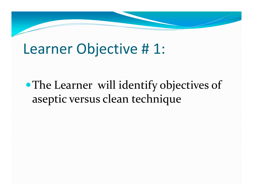The Learner will identify objectives of aseptic versus clean technique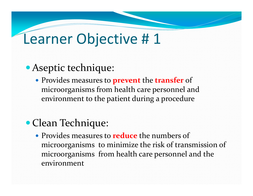#### Aseptic technique:

 Provides measures to **preven<sup>t</sup>** the **transfer** of microorganisms from health care personnel and environment to the patient during <sup>a</sup> procedure

#### Clean Technique:

 Provides measures to **reduce** the numbers of microorganisms to minimize the risk of transmission of microorganisms from health care personnel and the environment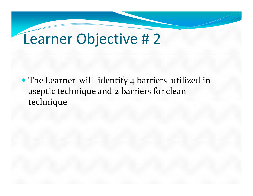• The Learner will identify 4 barriers utilized in aseptic technique and <sup>2</sup> barriers for clean technique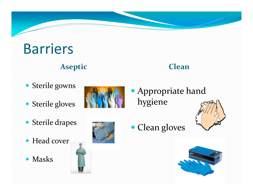# Barriers

#### **Aseptic Clean**

- Sterile gowns
- Sterile gloves
- Sterile drapes
- Head cover
- Masks



 Appropriate hand hygiene





• Clean gloves

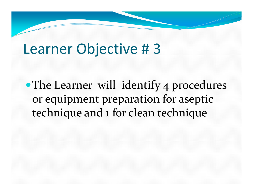The Learner will identify <sup>4</sup> procedures or equipment preparation for aseptic technique and <sup>1</sup> for clean technique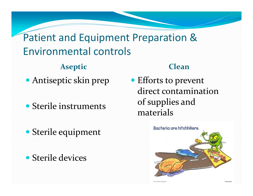Patient and Equipment Preparation & Environmental controls

**Aseptic Clean**

- Antiseptic skin prep
- Sterile instruments
- Sterile equipment
- Sterile devices

 Efforts to preven<sup>t</sup> direct contaminationof supplies and materials

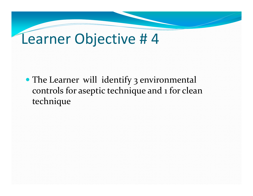• The Learner will identify 3 environmental controls for aseptic technique and <sup>1</sup> for clean technique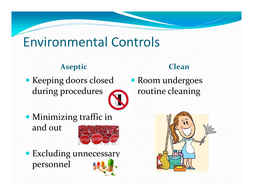#### Environmental Controls

#### **Aseptic Clean**

 Keeping doors closed during procedures

 Room undergoes routine cleaning

 Minimizing traffic in and out



 Excluding unnecessary personnel

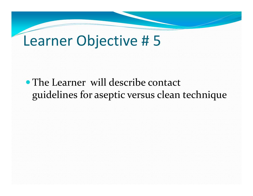The Learner will describe contact guidelines for aseptic versus clean technique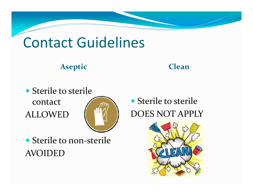### Contact Guidelines

#### **Aseptic Clean**

• Sterile to sterile contact ALLOWED



• Sterile to sterile DOES NOT APPLY